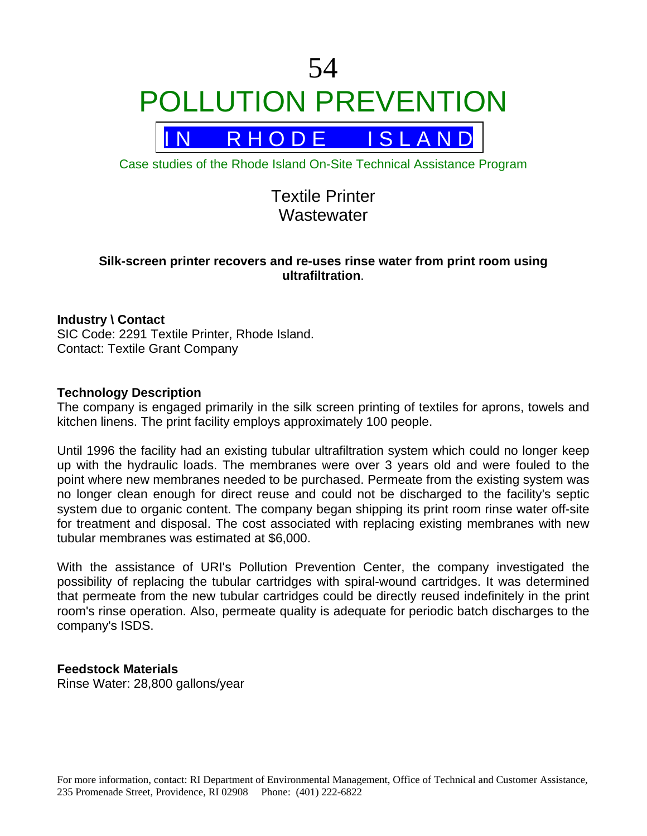



Case studies of the Rhode Island On-Site Technical Assistance Program

# Textile Printer **Wastewater**

# **Silk-screen printer recovers and re-uses rinse water from print room using ultrafiltration**.

# **Industry \ Contact**

SIC Code: 2291 Textile Printer, Rhode Island. Contact: Textile Grant Company

### **Technology Description**

The company is engaged primarily in the silk screen printing of textiles for aprons, towels and kitchen linens. The print facility employs approximately 100 people.

Until 1996 the facility had an existing tubular ultrafiltration system which could no longer keep up with the hydraulic loads. The membranes were over 3 years old and were fouled to the point where new membranes needed to be purchased. Permeate from the existing system was no longer clean enough for direct reuse and could not be discharged to the facility's septic system due to organic content. The company began shipping its print room rinse water off-site for treatment and disposal. The cost associated with replacing existing membranes with new tubular membranes was estimated at \$6,000.

With the assistance of URI's Pollution Prevention Center, the company investigated the possibility of replacing the tubular cartridges with spiral-wound cartridges. It was determined that permeate from the new tubular cartridges could be directly reused indefinitely in the print room's rinse operation. Also, permeate quality is adequate for periodic batch discharges to the company's ISDS.

# **Feedstock Materials**

Rinse Water: 28,800 gallons/year